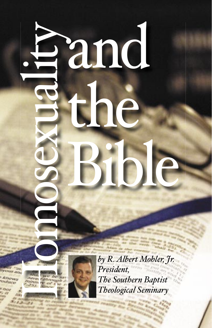Homosexuality

o

mo

S

exu

 $\mathbf d$ 

**letter** 

it.

pand

the

Bible

*by R. Albert Mohler, Jr. President,* President, President, The Southern Baptist<br>Theological Seminary

1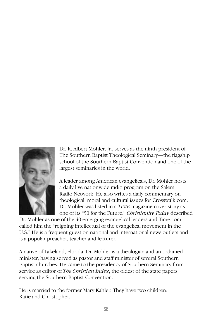

Dr. R. Albert Mohler, Jr., serves as the ninth president of The Southern Baptist Theological Seminary—the flagship school of the Southern Baptist Convention and one of the largest seminaries in the world.

A leader among American evangelicals, Dr. Mohler hosts a daily live nationwide radio program on the Salem Radio Network. He also writes a daily commentary on theological, moral and cultural issues for Crosswalk.com. Dr. Mohler was listed in a *TIME* magazine cover story as one of its "50 for the Future." *Christianity Today* described

Dr. Mohler as one of the 40 emerging evangelical leaders and Time.com called him the "reigning intellectual of the evangelical movement in the U.S." He is a frequent guest on national and international news outlets and is a popular preacher, teacher and lecturer.

A native of Lakeland, Florida, Dr. Mohler is a theologian and an ordained minister, having served as pastor and staff minister of several Southern Baptist churches. He came to the presidency of Southern Seminary from service as editor of *The Christian Index*, the oldest of the state papers serving the Southern Baptist Convention.

He is married to the former Mary Kahler. They have two children: Katie and Christopher.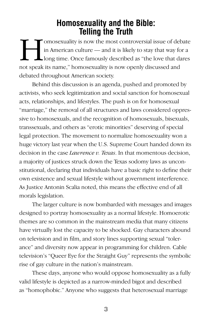## **Homosexuality and the Bible: Telling the Truth**

IT CONDITION IS NOT THE MANUS WAS SERVED IN AMERICAN IN A MORE IN American culture — and it is likely to stay that way for a long time. Once famously described as "the love that dares in American culture — and it is likely to stay that way for a long time. Once famously described as "the love that dares not speak its name," homosexuality is now openly discussed and debated throughout American society.

Behind this discussion is an agenda, pushed and promoted by activists, who seek legitimization and social sanction for homosexual acts, relationships, and lifestyles. The push is on for homosexual "marriage," the removal of all structures and laws considered oppressive to homosexuals, and the recognition of homosexuals, bisexuals, transsexuals, and others as "erotic minorities" deserving of special legal protection. The movement to normalize homosexuality won a huge victory last year when the U.S. Supreme Court handed down its decision in the case *Lawrence v. Texas*. In that momentous decision, a majority of justices struck down the Texas sodomy laws as unconstitutional, declaring that individuals have a basic right to define their own existence and sexual lifestyle without government interference. As Justice Antonin Scalia noted, this means the effective end of all morals legislation.

The larger culture is now bombarded with messages and images designed to portray homosexuality as a normal lifestyle. Homoerotic themes are so common in the mainstream media that many citizens have virtually lost the capacity to be shocked. Gay characters abound on television and in film, and story lines supporting sexual "tolerance" and diversity now appear in programming for children. Cable television's "Queer Eye for the Straight Guy" represents the symbolic rise of gay culture in the nation's mainstream.

These days, anyone who would oppose homosexuality as a fully valid lifestyle is depicted as a narrow-minded bigot and described as "homophobic." Anyone who suggests that heterosexual marriage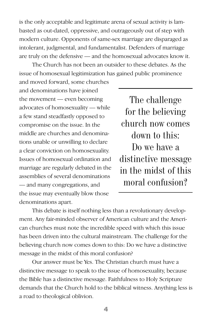is the only acceptable and legitimate arena of sexual activity is lambasted as out-dated, oppressive, and outrageously out of step with modern culture. Opponents of same-sex marriage are disparaged as intolerant, judgmental, and fundamentalist. Defenders of marriage are truly on the defensive — and the homosexual advocates know it.

The Church has not been an outsider to these debates. As the issue of homosexual legitimization has gained public prominence

and moved forward, some churches and denominations have joined the movement — even becoming advocates of homosexuality — while a few stand steadfastly opposed to compromise on the issue. In the middle are churches and denominations unable or unwilling to declare a clear conviction on homosexuality. Issues of homosexual ordination and marriage are regularly debated in the assemblies of several denominations — and many congregations, and the issue may eventually blow those denominations apart.

The challenge for the believing church now comes down to this: Do we have a distinctive message in the midst of this moral confusion?

This debate is itself nothing less than a revolutionary development. Any fair-minded observer of American culture and the American churches must note the incredible speed with which this issue has been driven into the cultural mainstream. The challenge for the believing church now comes down to this: Do we have a distinctive message in the midst of this moral confusion?

Our answer must be Yes. The Christian church must have a distinctive message to speak to the issue of homosexuality, because the Bible has a distinctive message. Faithfulness to Holy Scripture demands that the Church hold to the biblical witness. Anything less is a road to theological oblivion.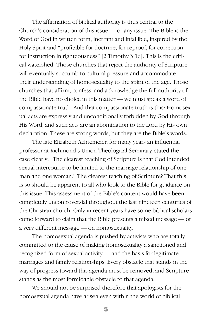The affirmation of biblical authority is thus central to the Church's consideration of this issue — or any issue. The Bible is the Word of God in written form, inerrant and infallible, inspired by the Holy Spirit and "profitable for doctrine, for reproof, for correction, for instruction in righteousness" [2 Timothy 3:16]. This is the critical watershed: Those churches that reject the authority of Scripture will eventually succumb to cultural pressure and accommodate their understanding of homosexuality to the spirit of the age. Those churches that affirm, confess, and acknowledge the full authority of the Bible have no choice in this matter — we must speak a word of compassionate truth. And that compassionate truth is this: Homosexual acts are expressly and unconditionally forbidden by God through His Word, and such acts are an abomination to the Lord by His own declaration. These are strong words, but they are the Bible's words.

The late Elizabeth Achtemeier, for many years an influential professor at Richmond's Union Theological Seminary, stated the case clearly: "The clearest teaching of Scripture is that God intended sexual intercourse to be limited to the marriage relationship of one man and one woman." The clearest teaching of Scripture? That this is so should be apparent to all who look to the Bible for guidance on this issue. This assessment of the Bible's content would have been completely uncontroversial throughout the last nineteen centuries of the Christian church. Only in recent years have some biblical scholars come forward to claim that the Bible presents a mixed message — or a very different message — on homosexuality.

The homosexual agenda is pushed by activists who are totally committed to the cause of making homosexuality a sanctioned and recognized form of sexual activity — and the basis for legitimate marriages and family relationships. Every obstacle that stands in the way of progress toward this agenda must be removed, and Scripture stands as the most formidable obstacle to that agenda.

We should not be surprised therefore that apologists for the homosexual agenda have arisen even within the world of biblical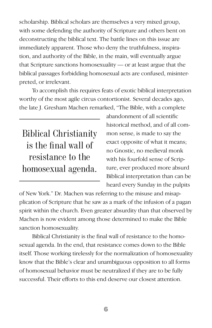scholarship. Biblical scholars are themselves a very mixed group, with some defending the authority of Scripture and others bent on deconstructing the biblical text. The battle lines on this issue are immediately apparent. Those who deny the truthfulness, inspiration, and authority of the Bible, in the main, will eventually argue that Scripture sanctions homosexuality — or at least argue that the biblical passages forbidding homosexual acts are confused, misinterpreted, or irrelevant.

To accomplish this requires feats of exotic biblical interpretation worthy of the most agile circus contortionist. Several decades ago, the late J. Gresham Machen remarked, "The Bible, with a complete

Biblical Christianity is the final wall of resistance to the homosexual agenda.

abandonment of all scientific historical method, and of all common sense, is made to say the exact opposite of what it means; no Gnostic, no medieval monk with his fourfold sense of Scripture, ever produced more absurd Biblical interpretation than can be heard every Sunday in the pulpits

of New York." Dr. Machen was referring to the misuse and misapplication of Scripture that he saw as a mark of the infusion of a pagan spirit within the church. Even greater absurdity than that observed by Machen is now evident among those determined to make the Bible sanction homosexuality.

Biblical Christianity is the final wall of resistance to the homosexual agenda. In the end, that resistance comes down to the Bible itself. Those working tirelessly for the normalization of homosexuality know that the Bible's clear and unambiguous opposition to all forms of homosexual behavior must be neutralized if they are to be fully successful. Their efforts to this end deserve our closest attention.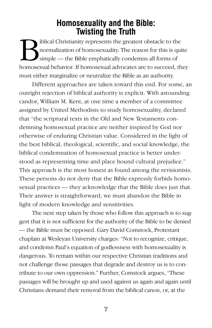## **Homosexuality and the Bible: Twisting the Truth**

Biblical Christianity represents the greatest obstacle to the<br>simple — the Bible emphatically condemns all forms of<br>homogogy laborator. If homogogy advocates are to succeed, the normalization of homosexuality. The reason for this is quite simple — the Bible emphatically condemns all forms of homosexual behavior. If homosexual advocates are to succeed, they must either marginalize or neutralize the Bible as an authority.

Different approaches are taken toward this end. For some, an outright rejection of biblical authority is explicit. With astounding candor, William M. Kent, at one time a member of a committee assigned by United Methodists to study homosexuality, declared that "the scriptural texts in the Old and New Testaments condemning homosexual practice are neither inspired by God nor otherwise of enduring Christian value. Considered in the light of the best biblical, theological, scientific, and social knowledge, the biblical condemnation of homosexual practice is better understood as representing time and place bound cultural prejudice." This approach is the most honest as found among the revisionists. These persons do not deny that the Bible expressly forbids homosexual practices — they acknowledge that the Bible does just that. Their answer is straightforward; we must abandon the Bible in light of modern knowledge and sensitivities.

The next step taken by those who follow this approach is to suggest that it is not sufficient for the authority of the Bible to be denied — the Bible must be opposed. Gary David Comstock, Protestant chaplain at Wesleyan University charges: "Not to recognize, critique, and condemn Paul's equation of godlessness with homosexuality is dangerous. To remain within our respective Christian traditions and not challenge those passages that degrade and destroy us is to contribute to our own oppression." Further, Comstock argues, "These passages will be brought up and used against us again and again until Christians demand their removal from the biblical canon, or, at the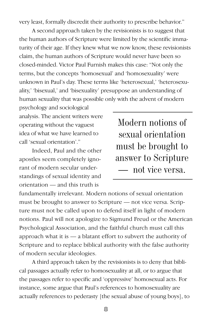very least, formally discredit their authority to prescribe behavior."

A second approach taken by the revisionists is to suggest that the human authors of Scripture were limited by the scientific immaturity of their age. If they knew what we now know, these revisionists claim, the human authors of Scripture would never have been so closed-minded. Victor Paul Furnish makes this case: "Not only the terms, but the concepts 'homosexual' and 'homosexuality' were unknown in Paul's day. These terms like 'heterosexual,' 'heterosexuality,' 'bisexual,' and 'bisexuality' presuppose an understanding of human sexuality that was possible only with the advent of modern

psychology and sociological analysis. The ancient writers were operating without the vaguest idea of what we have learned to call 'sexual orientation'."

Indeed, Paul and the other apostles seem completely ignorant of modern secular understandings of sexual identity and orientation — and this truth is

Modern notions of sexual orientation must be brought to answer to Scripture — not vice versa.

fundamentally irrelevant. Modern notions of sexual orientation must be brought to answer to Scripture — not vice versa. Scripture must not be called upon to defend itself in light of modern notions. Paul will not apologize to Sigmund Freud or the American Psychological Association, and the faithful church must call this approach what it is — a blatant effort to subvert the authority of Scripture and to replace biblical authority with the false authority of modern secular ideologies.

A third approach taken by the revisionists is to deny that biblical passages actually refer to homosexuality at all, or to argue that the passages refer to specific and 'oppressive' homosexual acts. For instance, some argue that Paul's references to homosexuality are actually references to pederasty [the sexual abuse of young boys], to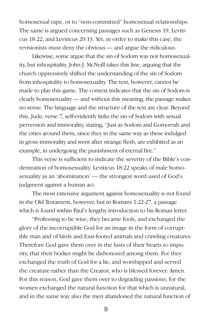homosexual rape, or to "non-committed" homosexual relationships. The same is argued concerning passages such as Genesis 19, Leviticus 18:22, and Leviticus 20:13. Yet, in order to make this case, the revisionists must deny the obvious — and argue the ridiculous.

Likewise, some argue that the sin of Sodom was not homosexuality, but inhospitality. John J. McNeill takes this line, arguing that the church oppressively shifted the understanding of the sin of Sodom from inhospitality to homosexuality. The text, however, cannot be made to play this game. The context indicates that the sin of Sodom is clearly homosexuality — and without this meaning, the passage makes no sense. The language and the structure of the text are clear. Beyond this, Jude, verse 7, self-evidently links the sin of Sodom with sexual perversion and immorality, stating, "Just as Sodom and Gomorrah and the cities around them, since they in the same way as these indulged in gross immorality and went after strange flesh, are exhibited as an example, in undergoing the punishment of eternal fire."

This verse is sufficient to indicate the severity of the Bible's condemnation of homosexuality. Leviticus 18:22 speaks of male homosexuality as an 'abomination' — the strongest word used of God's judgment against a human act.

The most extensive argument against homosexuality is not found in the Old Testament, however, but in Romans 1:22-27, a passage which is found within Paul's lengthy introduction to his Roman letter.

"Professing to be wise, they became fools, and exchanged the glory of the incorruptible God for an image in the form of corruptible man and of birds and four-footed animals and crawling creatures. Therefore God gave them over in the lusts of their hearts to impurity, that their bodies might be dishonored among them. For they exchanged the truth of God for a lie, and worshipped and served the creature rather than the Creator, who is blessed forever. Amen. For this reason, God gave them over to degrading passions; for the women exchanged the natural function for that which is unnatural, and in the same way also the men abandoned the natural function of

9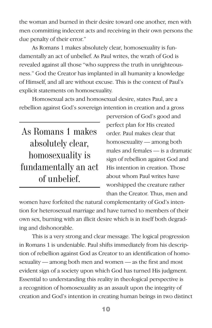the woman and burned in their desire toward one another, men with men committing indecent acts and receiving in their own persons the due penalty of their error."

As Romans 1 makes absolutely clear, homosexuality is fundamentally an act of unbelief. As Paul writes, the wrath of God is revealed against all those "who suppress the truth in unrighteousness." God the Creator has implanted in all humanity a knowledge of Himself, and all are without excuse. This is the context of Paul's explicit statements on homosexuality.

Homosexual acts and homosexual desire, states Paul, are a rebellion against God's sovereign intention in creation and a gross

As Romans 1 makes absolutely clear, homosexuality is fundamentally an act of unbelief.

perversion of God's good and perfect plan for His created order. Paul makes clear that homosexuality — among both males and females — is a dramatic sign of rebellion against God and His intention in creation. Those about whom Paul writes have worshipped the creature rather than the Creator. Thus, men and

women have forfeited the natural complementarity of God's intention for heterosexual marriage and have turned to members of their own sex, burning with an illicit desire which is in itself both degrading and dishonorable.

This is a very strong and clear message. The logical progression in Romans 1 is undeniable. Paul shifts immediately from his description of rebellion against God as Creator to an identification of homosexuality — among both men and women — as the first and most evident sign of a society upon which God has turned His judgment. Essential to understanding this reality in theological perspective is a recognition of homosexuality as an assault upon the integrity of creation and God's intention in creating human beings in two distinct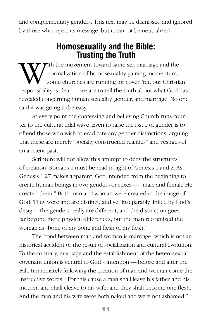and complementary genders. This text may be dismissed and ignored by those who reject its message, but it cannot be neutralized.

## **Homosexuality and the Bible: Trusting the Truth**

With the movement toward same-sex marriage and the<br>some churches are running for cover. Yet, our Christian<br>responsibility is clear. We are to tall the truth shout what Cod l normalization of homosexuality gaining momentum, some churches are running for cover. Yet, our Christian responsibility is clear — we are to tell the truth about what God has revealed concerning human sexuality, gender, and marriage. No one said it was going to be easy.

At every point the confessing and believing Church runs counter to the cultural tidal wave. Even to raise the issue of gender is to offend those who wish to eradicate any gender distinctions, arguing that these are merely "socially constructed realities" and vestiges of an ancient past.

Scripture will not allow this attempt to deny the structures of creation. Romans 1 must be read in light of Genesis 1 and 2. As Genesis 1:27 makes apparent, God intended from the beginning to create human beings in two genders or sexes — "male and female He created them." Both man and woman were created in the image of God. They were and are distinct, and yet inseparably linked by God's design. The genders really are different, and the distinction goes far beyond mere physical differences, but the man recognized the woman as "bone of my bone and flesh of my flesh."

The bond between man and woman is marriage, which is not an historical accident or the result of socialization and cultural evolution. To the contrary, marriage and the establishment of the heterosexual covenant union is central to God's intention — before and after the Fall. Immediately following the creation of man and woman come the instructive words: "For this cause a man shall leave his father and his mother, and shall cleave to his wife; and they shall become one flesh. And the man and his wife were both naked and were not ashamed."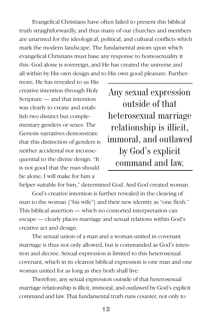Evangelical Christians have often failed to present this biblical truth straightforwardly, and thus many of our churches and members are unarmed for the ideological, political, and cultural conflicts which mark the modern landscape. The fundamental axiom upon which evangelical Christians must base any response to homosexuality it this: God alone is sovereign, and He has created the universe and all within by His own design and to His own good pleasure. Further-

more, He has revealed to us His creative intention through Holy Scripture — and that intention was clearly to create and establish two distinct but complementary genders or sexes. The Genesis narratives demonstrate that this distinction of genders is neither accidental nor inconsequential to the divine design. "It is not good that the man should be alone; I will make for him a

Any sexual expression outside of that heterosexual marriage relationship is illicit, immoral, and outlawed by God's explicit command and law.

helper suitable for him," determined God. And God created woman.

God's creative intention is further revealed in the cleaving of man to the woman ["his wife"] and their new identity as "one flesh." This biblical assertion — which no contorted interpretation can escape — clearly places marriage and sexual relations within God's creative act and design.

The sexual union of a man and a woman united in covenant marriage is thus not only allowed, but is commanded as God's intention and decree. Sexual expression is limited to this heterosexual covenant, which in its clearest biblical expression is one man and one woman united for as long as they both shall live.

Therefore, any sexual expression outside of that heterosexual marriage relationship is illicit, immoral, and outlawed by God's explicit command and law. That fundamental truth runs counter, not only to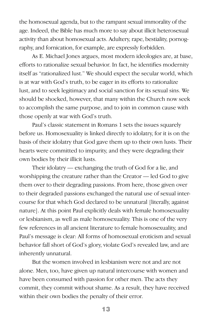the homosexual agenda, but to the rampant sexual immorality of the age. Indeed, the Bible has much more to say about illicit heterosexual activity than about homosexual acts. Adultery, rape, bestiality, pornography, and fornication, for example, are expressly forbidden.

As E. Michael Jones argues, most modern ideologies are, at base, efforts to rationalize sexual behavior. In fact, he identifies modernity itself as "rationalized lust." We should expect the secular world, which is at war with God's truth, to be eager in its efforts to rationalize lust, and to seek legitimacy and social sanction for its sexual sins. We should be shocked, however, that many within the Church now seek to accomplish the same purpose, and to join in common cause with those openly at war with God's truth.

Paul's classic statement in Romans 1 sets the issues squarely before us. Homosexuality is linked directly to idolatry, for it is on the basis of their idolatry that God gave them up to their own lusts. Their hearts were committed to impurity, and they were degrading their own bodies by their illicit lusts.

Their idolatry — exchanging the truth of God for a lie, and worshipping the creature rather than the Creator — led God to give them over to their degrading passions. From here, those given over to their degraded passions exchanged the natural use of sexual intercourse for that which God declared to be unnatural [literally, against nature]. At this point Paul explicitly deals with female homosexuality or lesbianism, as well as male homosexuality. This is one of the very few references in all ancient literature to female homosexuality, and Paul's message is clear: All forms of homosexual eroticism and sexual behavior fall short of God's glory, violate God's revealed law, and are inherently unnatural.

But the women involved in lesbianism were not and are not alone. Men, too, have given up natural intercourse with women and have been consumed with passion for other men. The acts they commit, they commit without shame. As a result, they have received within their own bodies the penalty of their error.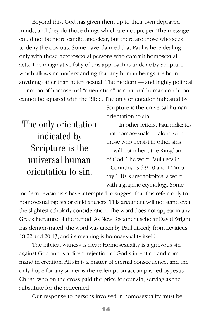Beyond this, God has given them up to their own depraved minds, and they do those things which are not proper. The message could not be more candid and clear, but there are those who seek to deny the obvious. Some have claimed that Paul is here dealing only with those heterosexual persons who commit homosexual acts. The imaginative folly of this approach is undone by Scripture, which allows no understanding that any human beings are born anything other than heterosexual. The modern — and highly political — notion of homosexual "orientation" as a natural human condition cannot be squared with the Bible. The only orientation indicated by

The only orientation indicated by Scripture is the universal human orientation to sin.

Scripture is the universal human orientation to sin.

In other letters, Paul indicates that homosexuals — along with those who persist in other sins — will not inherit the Kingdom of God. The word Paul uses in 1 Corinthians 6:9-10 and 1 Timothy 1:10 is arsenokoites, a word with a graphic etymology. Some

modern revisionists have attempted to suggest that this refers only to homosexual rapists or child abusers. This argument will not stand even the slightest scholarly consideration. The word does not appear in any Greek literature of the period. As New Testament scholar David Wright has demonstrated, the word was taken by Paul directly from Leviticus 18:22 and 20:13, and its meaning is homosexuality itself.

The biblical witness is clear: Homosexuality is a grievous sin against God and is a direct rejection of God's intention and command in creation. All sin is a matter of eternal consequence, and the only hope for any sinner is the redemption accomplished by Jesus Christ, who on the cross paid the price for our sin, serving as the substitute for the redeemed.

Our response to persons involved in homosexuality must be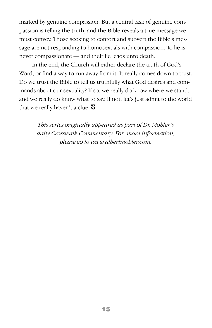marked by genuine compassion. But a central task of genuine compassion is telling the truth, and the Bible reveals a true message we must convey. Those seeking to contort and subvert the Bible's message are not responding to homosexuals with compassion. To lie is never compassionate — and their lie leads unto death.

In the end, the Church will either declare the truth of God's Word, or find a way to run away from it. It really comes down to trust. Do we trust the Bible to tell us truthfully what God desires and commands about our sexuality? If so, we really do know where we stand, and we really do know what to say. If not, let's just admit to the world that we really haven't a clue.

> *This series originally appeared as part of Dr. Mohler's daily Crosswalk Commentary. For more information, please go to www.albertmohler.com.*